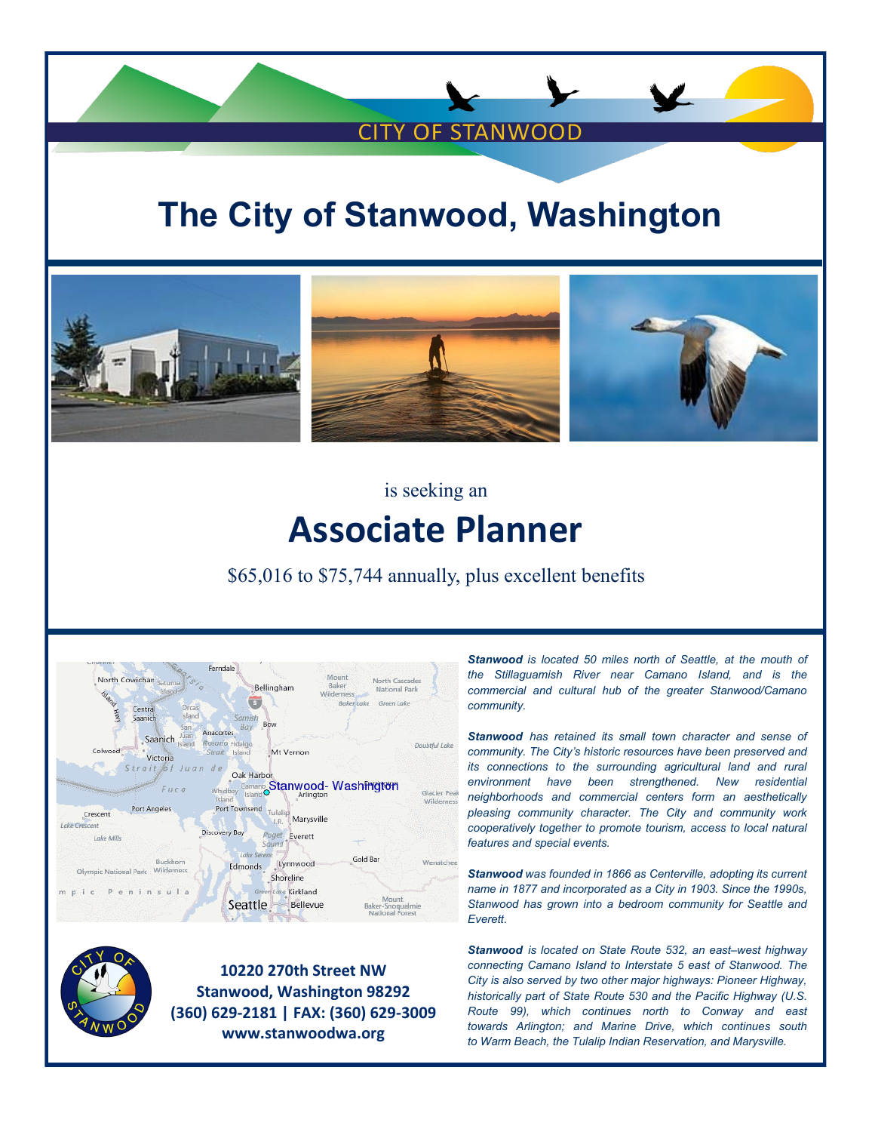# **The City of Stanwood, Washington**

**CITY OF STANWOOD** 



is seeking an

## **Associate Planner**

\$65,016 to \$75,744 annually, plus excellent benefits



**10220 270th Street NW Stanwood, Washington 98292 (360) 629-2181 | FAX: (360) 629-3009 www.stanwoodwa.org**

*Stanwood is located 50 miles north of [Seattle,](https://en.wikipedia.org/wiki/Seattle) at the mouth of the [Stillaguamish River](https://en.wikipedia.org/wiki/Stillaguamish_River) near [Camano Island,](https://en.wikipedia.org/wiki/Camano_Island) and is the commercial and cultural hub of the greater Stanwood/Camano community.* 

*Stanwood has retained its small town character and sense of community. The City's historic resources have been preserved and its connections to the surrounding agricultural land and rural environment have been strengthened. New residential neighborhoods and commercial centers form an aesthetically pleasing community character. The City and community work cooperatively together to promote tourism, access to local natural features and special events.*

*Stanwood was founded in 1866 as Centerville, adopting its current name in 1877 and [incorporated](https://en.wikipedia.org/wiki/Municipal_incorporation) as a City in 1903. Since the 1990s, Stanwood has grown into a [bedroom community for Seattle and](https://en.wikipedia.org/wiki/Bedroom_community)  [Everett.](https://en.wikipedia.org/wiki/Bedroom_community)*

*Stanwood is located on [State Route 532,](https://en.wikipedia.org/wiki/Washington_State_Route_532) an east–west highway connecting [Camano Island](https://en.wikipedia.org/wiki/Camano_Island) to [Interstate 5](https://en.wikipedia.org/wiki/Interstate_5_(Washington)) east of Stanwood. The City is also served by two other major highways: Pioneer Highway, historically part of [State Route 530](https://en.wikipedia.org/wiki/Washington_State_Route_530) and the [Pacific Highway](https://en.wikipedia.org/wiki/Pacific_Highway_(U.S.)) [\(U.S.](https://en.wikipedia.org/wiki/U.S._Route_99)  [Route 99\)](https://en.wikipedia.org/wiki/U.S._Route_99), which continues north to [Conway](https://en.wikipedia.org/wiki/Conway,_Washington) and east towards [Arlington;](https://en.wikipedia.org/wiki/Arlington,_Washington) and Marine Drive, which continues south to [Warm Beach,](https://en.wikipedia.org/wiki/Warm_Beach,_Washington) the [Tulalip Indian Reservation,](https://en.wikipedia.org/wiki/Tulalip_Indian_Reservation) and [Marysville.](https://en.wikipedia.org/wiki/Marysville,_Washington)*